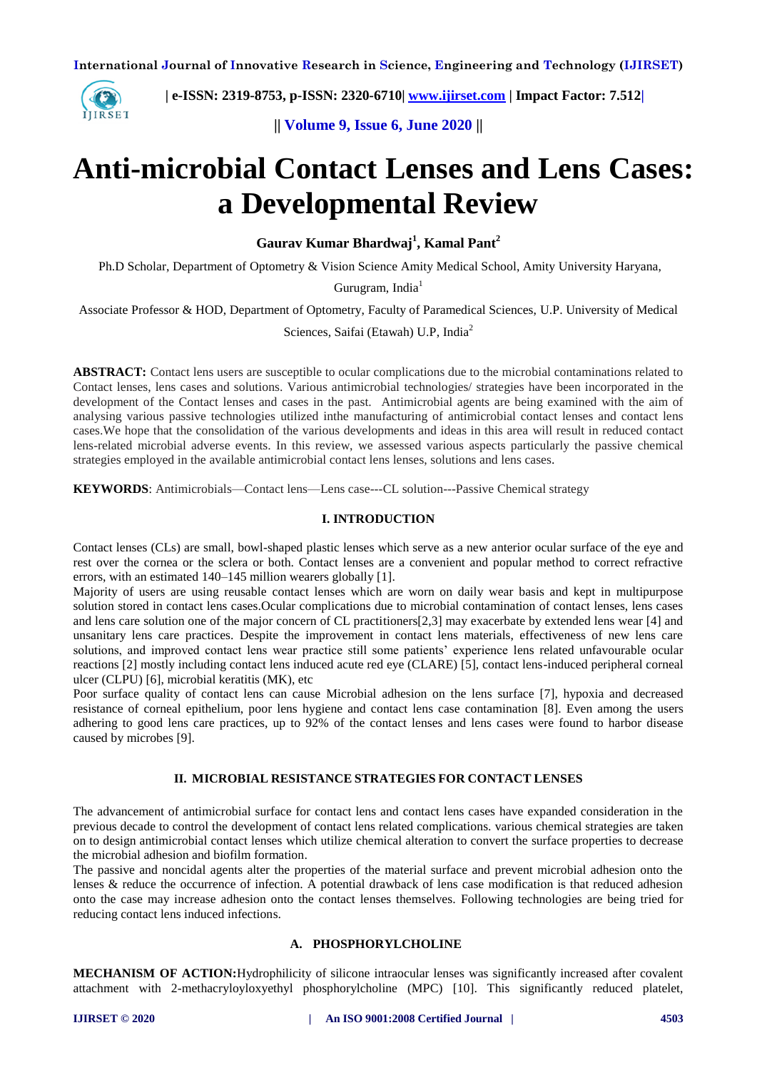

 **| e-ISSN: 2319-8753, p-ISSN: 2320-6710| [www.ijirset.com](http://www.ijirset.com/) | Impact Factor: 7.512|**

**|| Volume 9, Issue 6, June 2020 ||** 

# **Anti-microbial Contact Lenses and Lens Cases: a Developmental Review**

**Gaurav Kumar Bhardwaj<sup>1</sup> , Kamal Pant<sup>2</sup>**

Ph.D Scholar, Department of Optometry & Vision Science Amity Medical School, Amity University Haryana,

Gurugram, India<sup>1</sup>

Associate Professor & HOD, Department of Optometry, Faculty of Paramedical Sciences, U.P. University of Medical

Sciences, Saifai (Etawah) U.P, India<sup>2</sup>

**ABSTRACT:** Contact lens users are susceptible to ocular complications due to the microbial contaminations related to Contact lenses, lens cases and solutions. Various antimicrobial technologies/ strategies have been incorporated in the development of the Contact lenses and cases in the past. Antimicrobial agents are being examined with the aim of analysing various passive technologies utilized inthe manufacturing of antimicrobial contact lenses and contact lens cases.We hope that the consolidation of the various developments and ideas in this area will result in reduced contact lens-related microbial adverse events. In this review, we assessed various aspects particularly the passive chemical strategies employed in the available antimicrobial contact lens lenses, solutions and lens cases.

**KEYWORDS**: Antimicrobials—Contact lens—Lens case---CL solution---Passive Chemical strategy

# **I. INTRODUCTION**

Contact lenses (CLs) are small, bowl-shaped plastic lenses which serve as a new anterior ocular surface of the eye and rest over the cornea or the sclera or both. Contact lenses are a convenient and popular method to correct refractive errors, with an estimated 140–145 million wearers globally [1].

Majority of users are using reusable contact lenses which are worn on daily wear basis and kept in multipurpose solution stored in contact lens cases.Ocular complications due to microbial contamination of contact lenses, lens cases and lens care solution one of the major concern of CL practitioners[2,3] may exacerbate by extended lens wear [4] and unsanitary lens care practices. Despite the improvement in contact lens materials, effectiveness of new lens care solutions, and improved contact lens wear practice still some patients' experience lens related unfavourable ocular reactions [2] mostly including contact lens induced acute red eye (CLARE) [5], contact lens-induced peripheral corneal ulcer (CLPU) [6], microbial keratitis (MK), etc

Poor surface quality of contact lens can cause Microbial adhesion on the lens surface [7], hypoxia and decreased resistance of corneal epithelium, poor lens hygiene and contact lens case contamination [8]. Even among the users adhering to good lens care practices, up to 92% of the contact lenses and lens cases were found to harbor disease caused by microbes [9].

## **II. MICROBIAL RESISTANCE STRATEGIES FOR CONTACT LENSES**

The advancement of antimicrobial surface for contact lens and contact lens cases have expanded consideration in the previous decade to control the development of contact lens related complications. various chemical strategies are taken on to design antimicrobial contact lenses which utilize chemical alteration to convert the surface properties to decrease the microbial adhesion and biofilm formation.

The passive and noncidal agents alter the properties of the material surface and prevent microbial adhesion onto the lenses & reduce the occurrence of infection. A potential drawback of lens case modification is that reduced adhesion onto the case may increase adhesion onto the contact lenses themselves. Following technologies are being tried for reducing contact lens induced infections.

# **A. PHOSPHORYLCHOLINE**

**MECHANISM OF ACTION:**Hydrophilicity of silicone intraocular lenses was significantly increased after covalent attachment with 2-methacryloyloxyethyl phosphorylcholine (MPC) [10]. This significantly reduced platelet,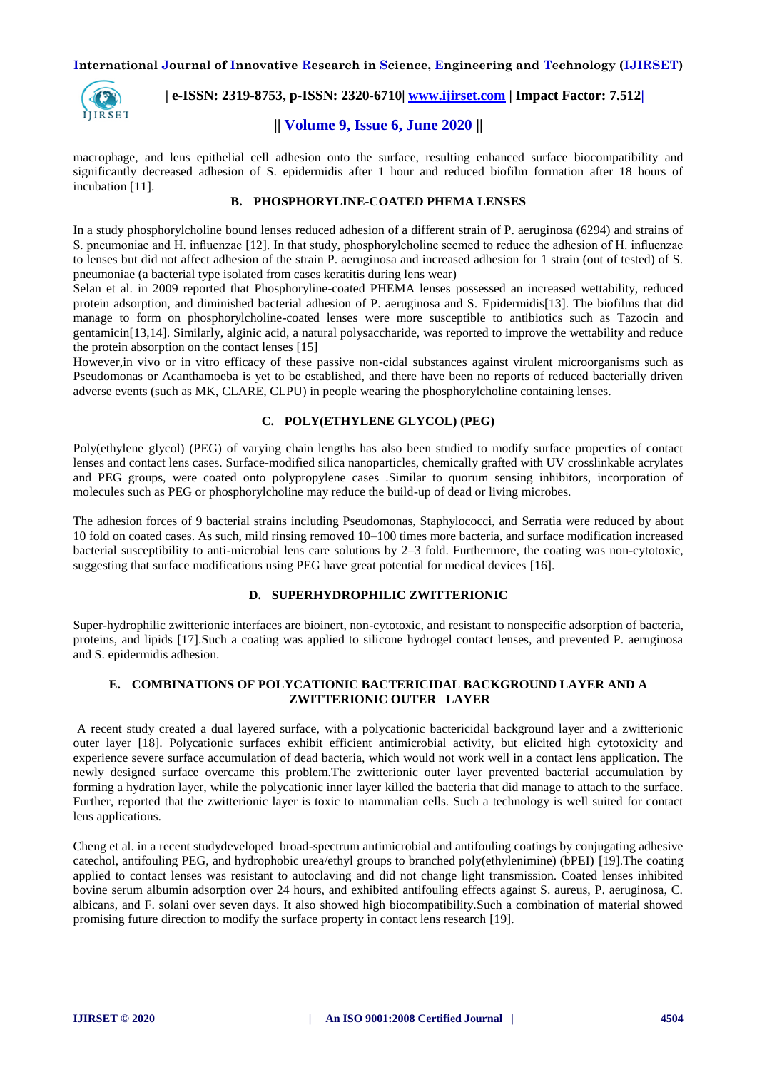

 **| e-ISSN: 2319-8753, p-ISSN: 2320-6710| [www.ijirset.com](http://www.ijirset.com/) | Impact Factor: 7.512|**

# **|| Volume 9, Issue 6, June 2020 ||**

macrophage, and lens epithelial cell adhesion onto the surface, resulting enhanced surface biocompatibility and significantly decreased adhesion of S. epidermidis after 1 hour and reduced biofilm formation after 18 hours of incubation [11].

# **B. PHOSPHORYLINE-COATED PHEMA LENSES**

In a study phosphorylcholine bound lenses reduced adhesion of a different strain of P. aeruginosa (6294) and strains of S. pneumoniae and H. influenzae [12]. In that study, phosphorylcholine seemed to reduce the adhesion of H. influenzae to lenses but did not affect adhesion of the strain P. aeruginosa and increased adhesion for 1 strain (out of tested) of S. pneumoniae (a bacterial type isolated from cases keratitis during lens wear)

Selan et al. in 2009 reported that Phosphoryline-coated PHEMA lenses possessed an increased wettability, reduced protein adsorption, and diminished bacterial adhesion of P. aeruginosa and S. Epidermidis[13]. The biofilms that did manage to form on phosphorylcholine-coated lenses were more susceptible to antibiotics such as Tazocin and gentamicin[13,14]. Similarly, alginic acid, a natural polysaccharide, was reported to improve the wettability and reduce the protein absorption on the contact lenses [15]

However,in vivo or in vitro efficacy of these passive non-cidal substances against virulent microorganisms such as Pseudomonas or Acanthamoeba is yet to be established, and there have been no reports of reduced bacterially driven adverse events (such as MK, CLARE, CLPU) in people wearing the phosphorylcholine containing lenses.

# **C. POLY(ETHYLENE GLYCOL) (PEG)**

Poly(ethylene glycol) (PEG) of varying chain lengths has also been studied to modify surface properties of contact lenses and contact lens cases. Surface-modified silica nanoparticles, chemically grafted with UV crosslinkable acrylates and PEG groups, were coated onto polypropylene cases .Similar to quorum sensing inhibitors, incorporation of molecules such as PEG or phosphorylcholine may reduce the build-up of dead or living microbes.

The adhesion forces of 9 bacterial strains including Pseudomonas, Staphylococci, and Serratia were reduced by about 10 fold on coated cases. As such, mild rinsing removed 10–100 times more bacteria, and surface modification increased bacterial susceptibility to anti-microbial lens care solutions by 2–3 fold. Furthermore, the coating was non-cytotoxic, suggesting that surface modifications using PEG have great potential for medical devices [16].

# **D. SUPERHYDROPHILIC ZWITTERIONIC**

Super-hydrophilic zwitterionic interfaces are bioinert, non-cytotoxic, and resistant to nonspecific adsorption of bacteria, proteins, and lipids [17].Such a coating was applied to silicone hydrogel contact lenses, and prevented P. aeruginosa and S. epidermidis adhesion.

# **E. COMBINATIONS OF POLYCATIONIC BACTERICIDAL BACKGROUND LAYER AND A ZWITTERIONIC OUTER LAYER**

A recent study created a dual layered surface, with a polycationic bactericidal background layer and a zwitterionic outer layer [18]. Polycationic surfaces exhibit efficient antimicrobial activity, but elicited high cytotoxicity and experience severe surface accumulation of dead bacteria, which would not work well in a contact lens application. The newly designed surface overcame this problem.The zwitterionic outer layer prevented bacterial accumulation by forming a hydration layer, while the polycationic inner layer killed the bacteria that did manage to attach to the surface. Further, reported that the zwitterionic layer is toxic to mammalian cells. Such a technology is well suited for contact lens applications.

Cheng et al. in a recent studydeveloped broad-spectrum antimicrobial and antifouling coatings by conjugating adhesive catechol, antifouling PEG, and hydrophobic urea/ethyl groups to branched poly(ethylenimine) (bPEI) [19].The coating applied to contact lenses was resistant to autoclaving and did not change light transmission. Coated lenses inhibited bovine serum albumin adsorption over 24 hours, and exhibited antifouling effects against S. aureus, P. aeruginosa, C. albicans, and F. solani over seven days. It also showed high biocompatibility.Such a combination of material showed promising future direction to modify the surface property in contact lens research [19].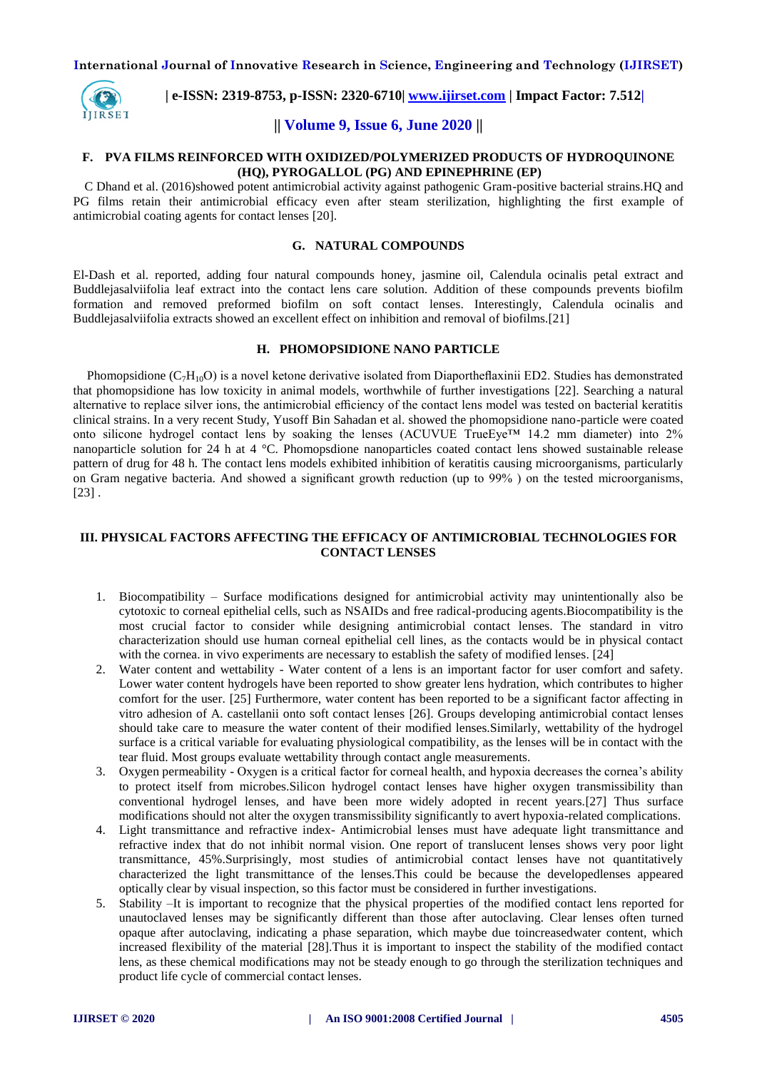

 **| e-ISSN: 2319-8753, p-ISSN: 2320-6710| [www.ijirset.com](http://www.ijirset.com/) | Impact Factor: 7.512|**

# **|| Volume 9, Issue 6, June 2020 ||**

#### **F. PVA FILMS REINFORCED WITH OXIDIZED/POLYMERIZED PRODUCTS OF HYDROQUINONE (HQ), PYROGALLOL (PG) AND EPINEPHRINE (EP)**

C Dhand et al. (2016)showed potent antimicrobial activity against pathogenic Gram-positive bacterial strains.HQ and PG films retain their antimicrobial efficacy even after steam sterilization, highlighting the first example of antimicrobial coating agents for contact lenses [20].

#### **G. NATURAL COMPOUNDS**

El-Dash et al. reported, adding four natural compounds honey, jasmine oil, Calendula ocinalis petal extract and Buddlejasalviifolia leaf extract into the contact lens care solution. Addition of these compounds prevents biofilm formation and removed preformed biofilm on soft contact lenses. Interestingly, Calendula ocinalis and Buddlejasalviifolia extracts showed an excellent effect on inhibition and removal of biofilms.[21]

#### **H. PHOMOPSIDIONE NANO PARTICLE**

Phomopsidione  $(C_7H_{10}O)$  is a novel ketone derivative isolated from Diaportheflaxinii ED2. Studies has demonstrated that phomopsidione has low toxicity in animal models, worthwhile of further investigations [22]. Searching a natural alternative to replace silver ions, the antimicrobial efficiency of the contact lens model was tested on bacterial keratitis clinical strains. In a very recent Study, Yusoff Bin Sahadan et al. showed the phomopsidione nano-particle were coated onto silicone hydrogel contact lens by soaking the lenses (ACUVUE TrueEye™ 14.2 mm diameter) into 2% nanoparticle solution for 24 h at 4 °C. Phomopsdione nanoparticles coated contact lens showed sustainable release pattern of drug for 48 h. The contact lens models exhibited inhibition of keratitis causing microorganisms, particularly on Gram negative bacteria. And showed a significant growth reduction (up to 99% ) on the tested microorganisms,  $[23]$ .

# **III. PHYSICAL FACTORS AFFECTING THE EFFICACY OF ANTIMICROBIAL TECHNOLOGIES FOR CONTACT LENSES**

- 1. Biocompatibility Surface modifications designed for antimicrobial activity may unintentionally also be cytotoxic to corneal epithelial cells, such as NSAIDs and free radical-producing agents.Biocompatibility is the most crucial factor to consider while designing antimicrobial contact lenses. The standard in vitro characterization should use human corneal epithelial cell lines, as the contacts would be in physical contact with the cornea. in vivo experiments are necessary to establish the safety of modified lenses. [24]
- 2. Water content and wettability Water content of a lens is an important factor for user comfort and safety. Lower water content hydrogels have been reported to show greater lens hydration, which contributes to higher comfort for the user. [25] Furthermore, water content has been reported to be a significant factor affecting in vitro adhesion of A. castellanii onto soft contact lenses [26]. Groups developing antimicrobial contact lenses should take care to measure the water content of their modified lenses.Similarly, wettability of the hydrogel surface is a critical variable for evaluating physiological compatibility, as the lenses will be in contact with the tear fluid. Most groups evaluate wettability through contact angle measurements.
- 3. Oxygen permeability Oxygen is a critical factor for corneal health, and hypoxia decreases the cornea's ability to protect itself from microbes.Silicon hydrogel contact lenses have higher oxygen transmissibility than conventional hydrogel lenses, and have been more widely adopted in recent years.[27] Thus surface modifications should not alter the oxygen transmissibility significantly to avert hypoxia-related complications.
- 4. Light transmittance and refractive index- Antimicrobial lenses must have adequate light transmittance and refractive index that do not inhibit normal vision. One report of translucent lenses shows very poor light transmittance, 45%.Surprisingly, most studies of antimicrobial contact lenses have not quantitatively characterized the light transmittance of the lenses.This could be because the developedlenses appeared optically clear by visual inspection, so this factor must be considered in further investigations.
- 5. Stability –It is important to recognize that the physical properties of the modified contact lens reported for unautoclaved lenses may be significantly different than those after autoclaving. Clear lenses often turned opaque after autoclaving, indicating a phase separation, which maybe due toincreasedwater content, which increased flexibility of the material [28].Thus it is important to inspect the stability of the modified contact lens, as these chemical modifications may not be steady enough to go through the sterilization techniques and product life cycle of commercial contact lenses.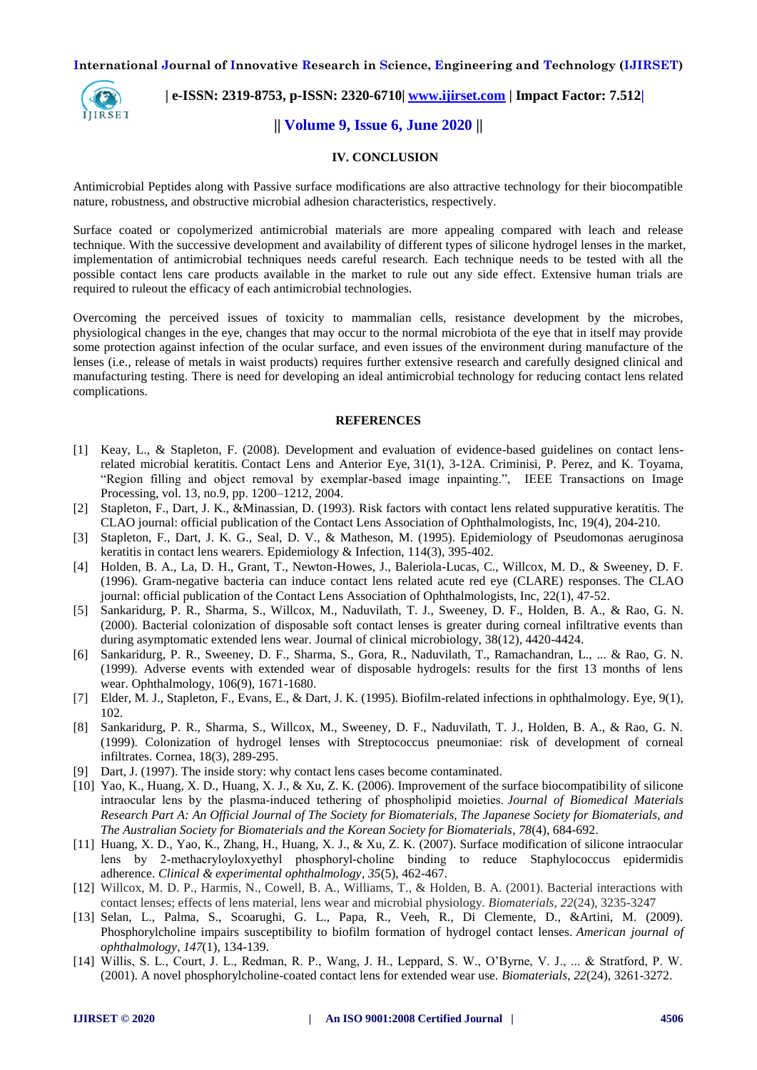

# **| e-ISSN: 2319-8753, p-ISSN: 2320-6710| [www.ijirset.com](http://www.ijirset.com/) | Impact Factor: 7.512|**

# **|| Volume 9, Issue 6, June 2020 ||**

#### **IV. CONCLUSION**

Antimicrobial Peptides along with Passive surface modifications are also attractive technology for their biocompatible nature, robustness, and obstructive microbial adhesion characteristics, respectively.

Surface coated or copolymerized antimicrobial materials are more appealing compared with leach and release technique. With the successive development and availability of different types of silicone hydrogel lenses in the market, implementation of antimicrobial techniques needs careful research. Each technique needs to be tested with all the possible contact lens care products available in the market to rule out any side effect. Extensive human trials are required to ruleout the efficacy of each antimicrobial technologies.

Overcoming the perceived issues of toxicity to mammalian cells, resistance development by the microbes, physiological changes in the eye, changes that may occur to the normal microbiota of the eye that in itself may provide some protection against infection of the ocular surface, and even issues of the environment during manufacture of the lenses (i.e., release of metals in waist products) requires further extensive research and carefully designed clinical and manufacturing testing. There is need for developing an ideal antimicrobial technology for reducing contact lens related complications.

#### **REFERENCES**

- [1] Keay, L., & Stapleton, F. (2008). Development and evaluation of evidence-based guidelines on contact lensrelated microbial keratitis. Contact Lens and Anterior Eye, 31(1), 3-12A. Criminisi, P. Perez, and K. Toyama, "Region filling and object removal by exemplar-based image inpainting.", IEEE Transactions on Image Processing, vol. 13, no.9, pp. 1200–1212, 2004.
- [2] Stapleton, F., Dart, J. K., &Minassian, D. (1993). Risk factors with contact lens related suppurative keratitis. The CLAO journal: official publication of the Contact Lens Association of Ophthalmologists, Inc, 19(4), 204-210.
- [3] Stapleton, F., Dart, J. K. G., Seal, D. V., & Matheson, M. (1995). Epidemiology of Pseudomonas aeruginosa keratitis in contact lens wearers. Epidemiology & Infection, 114(3), 395-402.
- [4] Holden, B. A., La, D. H., Grant, T., Newton-Howes, J., Baleriola-Lucas, C., Willcox, M. D., & Sweeney, D. F. (1996). Gram-negative bacteria can induce contact lens related acute red eye (CLARE) responses. The CLAO journal: official publication of the Contact Lens Association of Ophthalmologists, Inc, 22(1), 47-52.
- [5] Sankaridurg, P. R., Sharma, S., Willcox, M., Naduvilath, T. J., Sweeney, D. F., Holden, B. A., & Rao, G. N. (2000). Bacterial colonization of disposable soft contact lenses is greater during corneal infiltrative events than during asymptomatic extended lens wear. Journal of clinical microbiology, 38(12), 4420-4424.
- [6] Sankaridurg, P. R., Sweeney, D. F., Sharma, S., Gora, R., Naduvilath, T., Ramachandran, L., ... & Rao, G. N. (1999). Adverse events with extended wear of disposable hydrogels: results for the first 13 months of lens wear. Ophthalmology, 106(9), 1671-1680.
- [7] Elder, M. J., Stapleton, F., Evans, E., & Dart, J. K. (1995). Biofilm-related infections in ophthalmology. Eye, 9(1), 102.
- [8] Sankaridurg, P. R., Sharma, S., Willcox, M., Sweeney, D. F., Naduvilath, T. J., Holden, B. A., & Rao, G. N. (1999). Colonization of hydrogel lenses with Streptococcus pneumoniae: risk of development of corneal infiltrates. Cornea, 18(3), 289-295.
- [9] Dart, J. (1997). The inside story: why contact lens cases become contaminated.
- [10] Yao, K., Huang, X. D., Huang, X. J., & Xu, Z. K. (2006). Improvement of the surface biocompatibility of silicone intraocular lens by the plasma‐induced tethering of phospholipid moieties. *Journal of Biomedical Materials Research Part A: An Official Journal of The Society for Biomaterials, The Japanese Society for Biomaterials, and The Australian Society for Biomaterials and the Korean Society for Biomaterials*, *78*(4), 684-692.
- [11] Huang, X. D., Yao, K., Zhang, H., Huang, X. J., & Xu, Z. K. (2007). Surface modification of silicone intraocular lens by 2‐methacryloyloxyethyl phosphoryl‐choline binding to reduce Staphylococcus epidermidis adherence. *Clinical & experimental ophthalmology*, *35*(5), 462-467.
- [12] Willcox, M. D. P., Harmis, N., Cowell, B. A., Williams, T., & Holden, B. A. (2001). Bacterial interactions with contact lenses; effects of lens material, lens wear and microbial physiology. *Biomaterials*, *22*(24), 3235-3247
- [13] Selan, L., Palma, S., Scoarughi, G. L., Papa, R., Veeh, R., Di Clemente, D., &Artini, M. (2009). Phosphorylcholine impairs susceptibility to biofilm formation of hydrogel contact lenses. *American journal of ophthalmology*, *147*(1), 134-139.
- [14] Willis, S. L., Court, J. L., Redman, R. P., Wang, J. H., Leppard, S. W., O'Byrne, V. J., ... & Stratford, P. W. (2001). A novel phosphorylcholine-coated contact lens for extended wear use. *Biomaterials*, *22*(24), 3261-3272.